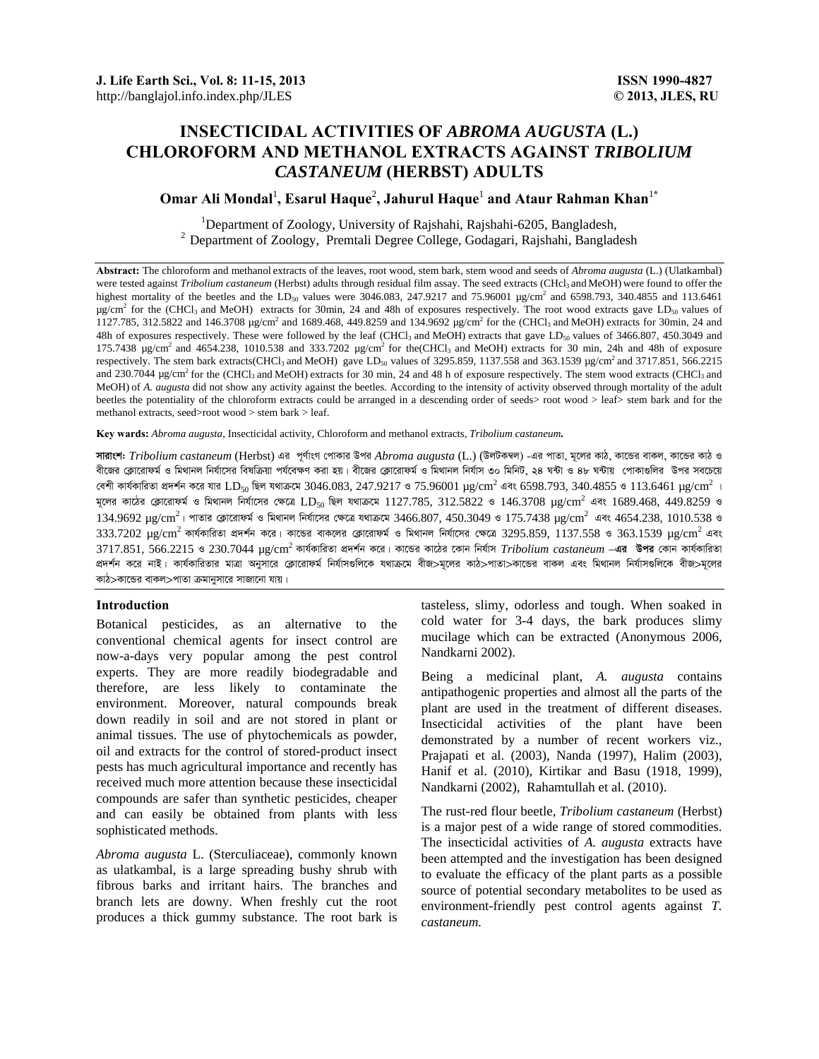# **INSECTICIDAL ACTIVITIES OF** *ABROMA AUGUSTA* **(L.) CHLOROFORM AND METHANOL EXTRACTS AGAINST** *TRIBOLIUM CASTANEUM* **(HERBST) ADULTS**

## $\boldsymbol{\mathrm{O}}$ mar Ali Mondal<sup>1</sup>, Esarul Haque<sup>2</sup>, Jahurul Haque<sup>1</sup> and Ataur Rahman Khan<sup>1\*</sup>

<sup>1</sup>Department of Zoology, University of Rajshahi, Rajshahi-6205, Bangladesh, <sup>2</sup> Department of Zoology, Premtali Degree College, Godagari, Rajshahi, Bangladesh

**Abstract:** The chloroform and methanol extracts of the leaves, root wood, stem bark, stem wood and seeds of *Abroma augusta* (L.) (Ulatkambal) were tested against *Tribolium castaneum* (Herbst) adults through residual film assay. The seed extracts (CHcl<sub>3</sub> and MeOH) were found to offer the highest mortality of the beetles and the LD<sub>50</sub> values were 3046.083, 247.9217 and 75.96001  $\mu$ g/cm<sup>2</sup> and 6598.793, 340.4855 and 113.6461 µg/cm<sup>2</sup> for the (CHCl<sub>3</sub> and MeOH) extracts for 30min, 24 and 48h of exposures respectively. The root wood extracts gave LD<sub>50</sub> values of 1127.785, 312.5822 and 146.3708  $\mu$ g/cm<sup>2</sup> and 1689.468, 449.8259 and 134.9692  $\mu$ g/cm<sup>2</sup> for the (CHCl<sub>3</sub> and MeOH) extracts for 30min, 24 and 48h of exposures respectively. These were followed by the leaf (CHCl<sub>3</sub> and MeOH) extracts that gave LD<sub>50</sub> values of 3466.807, 450.3049 and 175.7438  $\mu$ g/cm<sup>2</sup> and 4654.238, 1010.538 and 333.7202  $\mu$ g/cm<sup>2</sup> for the(CHCl<sub>3</sub> and MeOH) extracts for 30 min, 24h and 48h of exposure respectively. The stem bark extracts(CHCl<sub>3</sub> and MeOH) gave LD<sub>50</sub> values of 3295.859, 1137.558 and 363.1539 µg/cm<sup>2</sup> and 3717.851, 566.2215 and 230.7044  $\mu$ g/cm<sup>2</sup> for the (CHCl<sub>3</sub> and MeOH) extracts for 30 min, 24 and 48 h of exposure respectively. The stem wood extracts (CHCl<sub>3</sub> and MeOH) of *A. augusta* did not show any activity against the beetles. According to the intensity of activity observed through mortality of the adult beetles the potentiality of the chloroform extracts could be arranged in a descending order of seeds> root wood > leaf> stem bark and for the methanol extracts, seed>root wood > stem bark > leaf.

**Key wards:** *Abroma augusta*, Insecticidal activity, Chloroform and methanol extracts, *Tribolium castaneum.* 

**সারাংশ:** *Tribolium castaneum* (Herbst) এর পূর্ণাংগ পোকার উপর *Abroma augusta* (L.) (উলটকম্বল) -এর পাতা, মূলের কাঠ, কান্ডের বাকল, কান্ডের কাঠ ও বীজের ক্লোরোফর্ম ও মিথানল নির্যাসের বিষক্রিয়া পর্যবেক্ষণ করা হয়। বীজের ক্লোরোফর্ম ও মিথান নির্যাস ৩০ মিনিট, ২৪ ঘন্টা ও ৪৮ ঘন্টায় পোকাগুলির উপর সবচেয়ে বেশী কাৰ্যকারিতা প্রদর্শন করে যার  $\textrm{LD}_{50}$  ছিল যথাক্রমে  $3046.083,$   $247.9217$  ও  $75.96001$   $\mu{\rm g/cm}^2$  এবং  $6598.793,$   $340.4855$  ও  $113.6461$   $\mu{\rm g/cm}^2$  । মূলের কাঠের ক্লোরোফর্ম ও মিথানল নির্যাসের ক্ষেত্রে LD<sub>50</sub> ছিল যথাক্রমে 1127.785, 312.5822 ও 146.3708 µg/cm<sup>2</sup> এবং 1689.468, 449.8259 ও  $134.9692~\mu$ g/cm $^2$ । পাতার ক্লোরোফর্ম ও মিথানল নির্যাসের ক্ষেত্রে যথাক্রমে  $3466.807,$   $450.3049$  ও  $175.7438~\mu$ g/cm $^2$  এবং  $4654.238,$   $1010.538$  ও  $333.7202$   $\mu$ g/cm<sup>2</sup> কাৰ্যকারিতা প্রদর্শন করে। কান্ডের বাকলের ক্লোরোফর্ম ও মিথানল নির্যাসের ক্ষেত্রে  $3295.859$ ,  $1137.558$  ও  $363.1539$   $\mu$ g/cm<sup>2</sup> এবং 3717.851, 566.2215 ও 230.7044 µg/cm<sup>2</sup> কাৰ্যকারিতা প্রদর্শন করে। কান্ডের কাঠের কোন নির্যাস *Tribolium castaneum* –**এর উপর** কোন কার্যকারিতা প্ৰদৰ্শন করে নাই। কাৰ্যকারিতার মাত্রা অনুসারে ক্লোরোফর্ম বিৰ্যাসগুলিকে যথাক্রমে বীজ>মূলের কাঠ>পাতা>কান্ডের বাকল এবং মিথানল নির্যাসগুলিকে বীজ>মূলের কাঠ>কান্ডের বাকল>পাতা ক্রমানুসারে সাজানো যায়।

## **Introduction**

Botanical pesticides, as an alternative to the conventional chemical agents for insect control are now-a-days very popular among the pest control experts. They are more readily biodegradable and therefore, are less likely to contaminate the environment. Moreover, natural compounds break down readily in soil and are not stored in plant or animal tissues. The use of phytochemicals as powder, oil and extracts for the control of stored-product insect pests has much agricultural importance and recently has received much more attention because these insecticidal compounds are safer than synthetic pesticides, cheaper and can easily be obtained from plants with less sophisticated methods.

*Abroma augusta* L. (Sterculiaceae), commonly known as ulatkambal, is a large spreading bushy shrub with fibrous barks and irritant hairs. The branches and branch lets are downy. When freshly cut the root produces a thick gummy substance. The root bark is tasteless, slimy, odorless and tough. When soaked in cold water for 3-4 days, the bark produces slimy mucilage which can be extracted (Anonymous 2006, Nandkarni 2002).

Being a medicinal plant, *A. augusta* contains antipathogenic properties and almost all the parts of the plant are used in the treatment of different diseases. Insecticidal activities of the plant have been demonstrated by a number of recent workers viz., Prajapati et al. (2003), Nanda (1997), Halim (2003), Hanif et al. (2010), Kirtikar and Basu (1918, 1999), Nandkarni (2002), Rahamtullah et al. (2010).

The rust-red flour beetle, *Tribolium castaneum* (Herbst) is a major pest of a wide range of stored commodities. The insecticidal activities of *A. augusta* extracts have been attempted and the investigation has been designed to evaluate the efficacy of the plant parts as a possible source of potential secondary metabolites to be used as environment-friendly pest control agents against *T. castaneum.*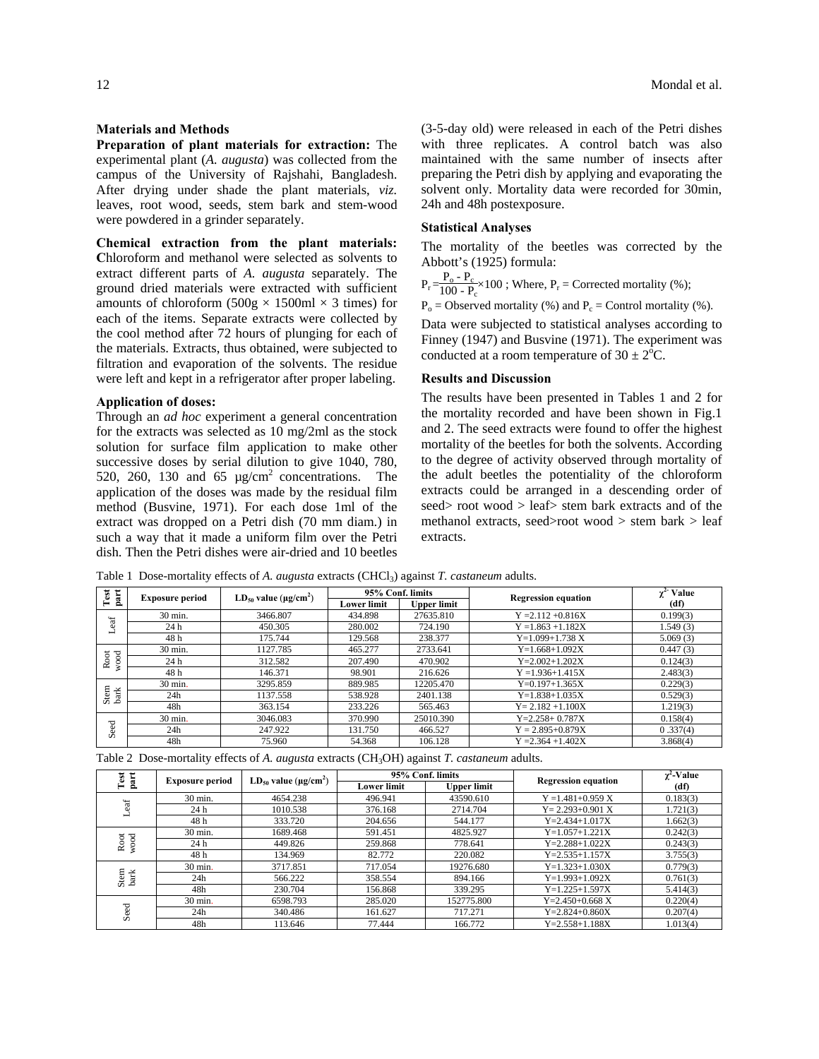#### **Materials and Methods**

**Preparation of plant materials for extraction:** The experimental plant (*A. augusta*) was collected from the campus of the University of Rajshahi, Bangladesh. After drying under shade the plant materials, *viz.* leaves, root wood, seeds, stem bark and stem-wood were powdered in a grinder separately.

**Chemical extraction from the plant materials: C**hloroform and methanol were selected as solvents to extract different parts of *A. augusta* separately. The ground dried materials were extracted with sufficient amounts of chloroform  $(500g \times 1500m \times 3$  times) for each of the items. Separate extracts were collected by the cool method after 72 hours of plunging for each of the materials. Extracts, thus obtained, were subjected to filtration and evaporation of the solvents. The residue were left and kept in a refrigerator after proper labeling.

#### **Application of doses:**

Through an *ad hoc* experiment a general concentration for the extracts was selected as 10 mg/2ml as the stock solution for surface film application to make other successive doses by serial dilution to give 1040, 780, 520, 260, 130 and 65  $\mu$ g/cm<sup>2</sup> concentrations. The application of the doses was made by the residual film method (Busvine, 1971). For each dose 1ml of the extract was dropped on a Petri dish (70 mm diam.) in such a way that it made a uniform film over the Petri dish. Then the Petri dishes were air-dried and 10 beetles (3-5-day old) were released in each of the Petri dishes with three replicates. A control batch was also maintained with the same number of insects after preparing the Petri dish by applying and evaporating the solvent only. Mortality data were recorded for 30min, 24h and 48h postexposure.

## **Statistical Analyses**

The mortality of the beetles was corrected by the Abbott's (1925) formula:

 $P_r = \frac{P_o - P_c}{100 - P_c} \times 100$ ; Where,  $P_r =$  Corrected mortality (%);

 $P_0$  = Observed mortality (%) and  $P_c$  = Control mortality (%).

Data were subjected to statistical analyses according to Finney (1947) and Busvine (1971). The experiment was conducted at a room temperature of  $30 \pm 2^{\circ}C$ .

## **Results and Discussion**

The results have been presented in Tables 1 and 2 for the mortality recorded and have been shown in Fig.1 and 2. The seed extracts were found to offer the highest mortality of the beetles for both the solvents. According to the degree of activity observed through mortality of the adult beetles the potentiality of the chloroform extracts could be arranged in a descending order of seed> root wood > leaf> stem bark extracts and of the methanol extracts, seed>root wood > stem bark > leaf extracts.

Table 1 Dose-mortality effects of *A. augusta* extracts (CHCl3) against *T. castaneum* adults.

| part<br>Test             | <b>Exposure period</b> | $LD_{50}$ value ( $\mu$ g/cm <sup>2</sup> ) | 95% Conf. limits |                    | <b>Regression equation</b> | Value<br>$\mathbf{v}^{\mathbf{L}}$ |
|--------------------------|------------------------|---------------------------------------------|------------------|--------------------|----------------------------|------------------------------------|
|                          |                        |                                             | Lower limit      | <b>Upper limit</b> |                            | (df)                               |
| 'ಸ<br>d)<br>┙            | 30 min.                | 3466.807                                    | 434.898          | 27635.810          | $Y = 2.112 + 0.816X$       | 0.199(3)                           |
|                          | 24 h                   | 450.305                                     | 280.002          | 724.190            | $Y = 1.863 + 1.182X$       | 1.549(3)                           |
|                          | 48 h                   | 175.744                                     | 129.568          | 238.377            | $Y=1.099+1.738 X$          | 5.069(3)                           |
| Root<br>$_{\rm od}$<br>Β | 30 min.                | 1127.785                                    | 465.277          | 2733.641           | $Y=1.668+1.092X$           | 0.447(3)                           |
|                          | 24 h                   | 312.582                                     | 207.490          | 470.902            | $Y=2.002+1.202X$           | 0.124(3)                           |
|                          | 48 h                   | 146.371                                     | 98.901           | 216.626            | $Y = 1.936 + 1.415X$       | 2.483(3)                           |
| Stem<br>bark             | 30 min.                | 3295.859                                    | 889.985          | 12205.470          | $Y=0.197+1.365X$           | 0.229(3)                           |
|                          | 24h                    | 1137.558                                    | 538.928          | 2401.138           | $Y=1.838+1.035X$           | 0.529(3)                           |
|                          | 48h                    | 363.154                                     | 233.226          | 565.463            | $Y = 2.182 + 1.100X$       | 1.219(3)                           |
| eed<br>Ō                 | 30 min.                | 3046.083                                    | 370.990          | 25010.390          | $Y=2.258+0.787X$           | 0.158(4)                           |
|                          | 24h                    | 247.922                                     | 131.750          | 466.527            | $Y = 2.895 + 0.879X$       | 0.337(4)                           |
|                          | 48h                    | 75.960                                      | 54.368           | 106.128            | $Y = 2.364 + 1.402X$       | 3.868(4)                           |

Table 2 Dose-mortality effects of *A. augusta* extracts (CH3OH) against *T. castaneum* adults.

| ë<br>part                   | <b>Exposure period</b> | $LD_{50}$ value ( $\mu$ g/cm <sup>2</sup> ) |             | 95% Conf. limits   | <b>Regression equation</b> | $\chi^2$ -Value |
|-----------------------------|------------------------|---------------------------------------------|-------------|--------------------|----------------------------|-----------------|
| ⊨                           |                        |                                             | Lower limit | <b>Upper limit</b> |                            | (df)            |
| "ಕ                          | 30 min.                | 4654.238                                    | 496.941     | 43590.610          | $Y = 1.481 + 0.959 X$      | 0.183(3)        |
|                             | 24 h                   | 1010.538                                    | 376.168     | 2714.704           | $Y = 2.293 + 0.901 X$      | 1.721(3)        |
|                             | 48 h                   | 333.720                                     | 204.656     | 544.177            | $Y = 2.434 + 1.017X$       | 1.662(3)        |
|                             | 30 min.                | 1689.468                                    | 591.451     | 4825.927           | $Y=1.057+1.221X$           | 0.242(3)        |
| $\overline{6}$<br>wood<br>Ř | 24 h                   | 449.826                                     | 259.868     | 778.641            | $Y = 2.288 + 1.022X$       | 0.243(3)        |
|                             | 48 h                   | 134.969                                     | 82.772      | 220.082            | $Y = 2.535 + 1.157X$       | 3.755(3)        |
|                             | 30 min.                | 3717.851                                    | 717.054     | 19276.680          | $Y=1.323+1.030X$           | 0.779(3)        |
| Stem<br>bark                | 24h                    | 566.222                                     | 358.554     | 894.166            | $Y=1.993+1.092X$           | 0.761(3)        |
|                             | 48h                    | 230.704                                     | 156.868     | 339.295            | $Y=1.225+1.597X$           | 5.414(3)        |
|                             | 30 min.                | 6598.793                                    | 285.020     | 152775.800         | $Y = 2.450 + 0.668$ X      | 0.220(4)        |
| Seed                        | 24h                    | 340.486                                     | 161.627     | 717.271            | $Y=2.824+0.860X$           | 0.207(4)        |
|                             | 48h                    | 113.646                                     | 77.444      | 166.772            | $Y = 2.558 + 1.188X$       | 1.013(4)        |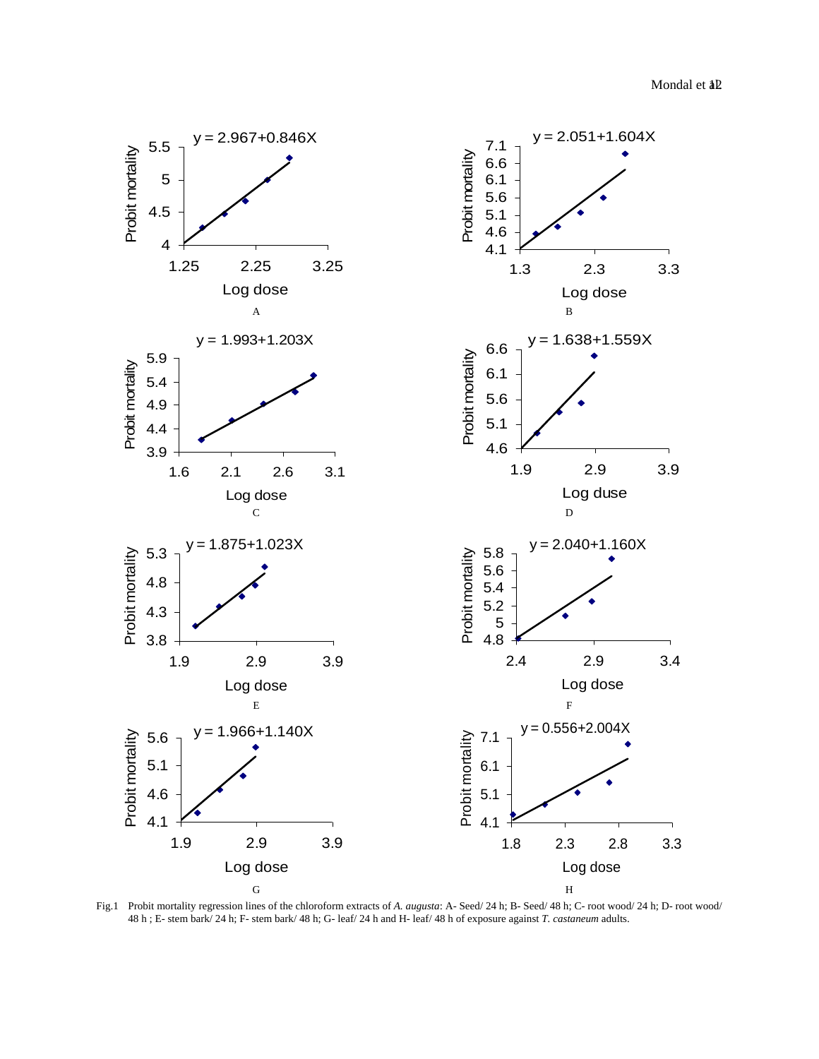

Fig.1 Probit mortality regression lines of the chloroform extracts of *A. augusta*: A- Seed/ 24 h; B- Seed/ 48 h; C- root wood/ 24 h; D- root wood/ 48 h ; E- stem bark/ 24 h; F- stem bark/ 48 h; G- leaf/ 24 h and H- leaf/ 48 h of exposure against *T. castaneum* adults.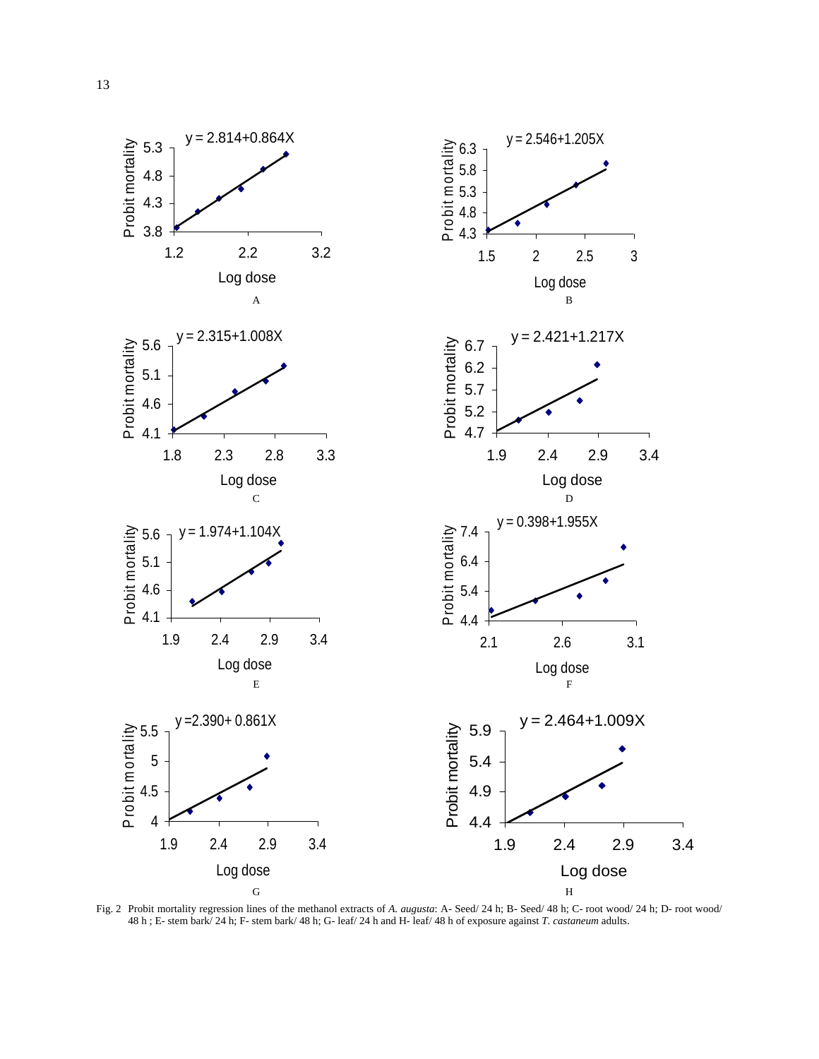

Fig. 2 Probit mortality regression lines of the methanol extracts of *A. augusta*: A- Seed/ 24 h; B- Seed/ 48 h; C- root wood/ 24 h; D- root wood/ 48 h ; E- stem bark/ 24 h; F- stem bark/ 48 h; G- leaf/ 24 h and H- leaf/ 48 h of exposure against *T. castaneum* adults.